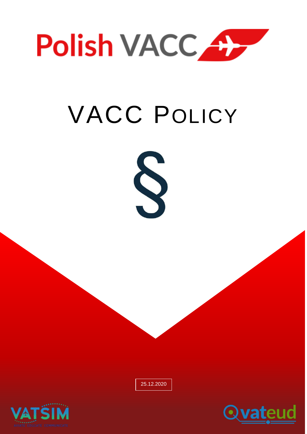

# VACC POLICY



25.12.2020



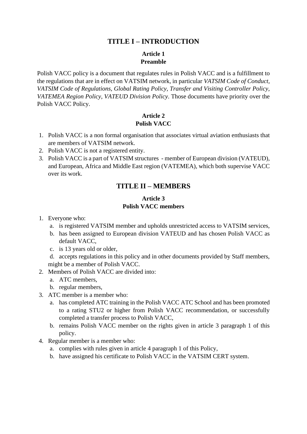# **TITLE I – INTRODUCTION**

#### **Article 1 Preamble**

Polish VACC policy is a document that regulates rules in Polish VACC and is a fulfillment to the regulations that are in effect on VATSIM network, in particular *VATSIM Code of Conduct, VATSIM Code of Regulations, Global Rating Policy, Transfer and Visiting Controller Policy, VATEMEA Region Policy, VATEUD Division Policy*. Those documents have priority over the Polish VACC Policy.

# **Article 2 Polish VACC**

- 1. Polish VACC is a non formal organisation that associates virtual aviation enthusiasts that are members of VATSIM network.
- 2. Polish VACC is not a registered entity.
- 3. Polish VACC is a part of VATSIM structures member of European division (VATEUD), and European, Africa and Middle East region (VATEMEA), which both supervise VACC over its work.

# **TITLE II – MEMBERS**

#### **Article 3 Polish VACC members**

- 1. Everyone who:
	- a. is registered VATSIM member and upholds unrestricted access to VATSIM services,
	- b. has been assigned to European division VATEUD and has chosen Polish VACC as default VACC,
	- c. is 13 years old or older,

d. accepts regulations in this policy and in other documents provided by Staff members, might be a member of Polish VACC.

- 2. Members of Polish VACC are divided into:
	- a. ATC members,
	- b. regular members,
- 3. ATC member is a member who:
	- a. has completed ATC training in the Polish VACC ATC School and has been promoted to a rating STU2 or higher from Polish VACC recommendation, or successfully completed a transfer process to Polish VACC,
	- b. remains Polish VACC member on the rights given in article 3 paragraph 1 of this policy.
- 4. Regular member is a member who:
	- a. complies with rules given in article 4 paragraph 1 of this Policy,
	- b. have assigned his certificate to Polish VACC in the VATSIM CERT system.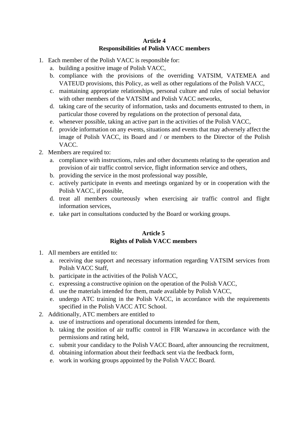#### **Article 4 Responsibilities of Polish VACC members**

- 1. Each member of the Polish VACC is responsible for:
	- a. building a positive image of Polish VACC,
	- b. compliance with the provisions of the overriding VATSIM, VATEMEA and VATEUD provisions, this Policy, as well as other regulations of the Polish VACC,
	- c. maintaining appropriate relationships, personal culture and rules of social behavior with other members of the VATSIM and Polish VACC networks,
	- d. taking care of the security of information, tasks and documents entrusted to them, in particular those covered by regulations on the protection of personal data,
	- e. whenever possible, taking an active part in the activities of the Polish VACC,
	- f. provide information on any events, situations and events that may adversely affect the image of Polish VACC, its Board and / or members to the Director of the Polish VACC.
- 2. Members are required to:
	- a. compliance with instructions, rules and other documents relating to the operation and provision of air traffic control service, flight information service and others,
	- b. providing the service in the most professional way possible,
	- c. actively participate in events and meetings organized by or in cooperation with the Polish VACC, if possible,
	- d. treat all members courteously when exercising air traffic control and flight information services,
	- e. take part in consultations conducted by the Board or working groups.

#### **Article 5 Rights of Polish VACC members**

- 1. All members are entitled to:
	- a. receiving due support and necessary information regarding VATSIM services from Polish VACC Staff,
	- b. participate in the activities of the Polish VACC,
	- c. expressing a constructive opinion on the operation of the Polish VACC,
	- d. use the materials intended for them, made available by Polish VACC,
	- e. undergo ATC training in the Polish VACC, in accordance with the requirements specified in the Polish VACC ATC School.
- 2. Additionally, ATC members are entitled to
	- a. use of instructions and operational documents intended for them,
	- b. taking the position of air traffic control in FIR Warszawa in accordance with the permissions and rating held,
	- c. submit your candidacy to the Polish VACC Board, after announcing the recruitment,
	- d. obtaining information about their feedback sent via the feedback form,
	- e. work in working groups appointed by the Polish VACC Board.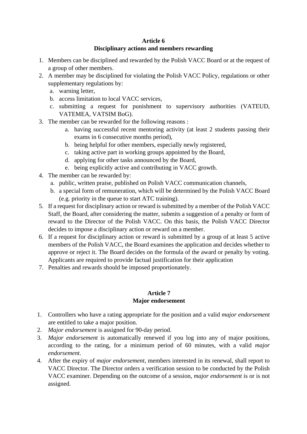#### **Article 6**

#### **Disciplinary actions and members rewarding**

- 1. Members can be disciplined and rewarded by the Polish VACC Board or at the request of a group of other members.
- 2. A member may be disciplined for violating the Polish VACC Policy, regulations or other supplementary regulations by:
	- a. warning letter,
	- b. access limitation to local VACC services,
	- c. submitting a request for punishment to supervisory authorities (VATEUD, VATEMEA, VATSIM BoG).
- 3. The member can be rewarded for the following reasons :
	- a. having successful recent mentoring activity (at least 2 students passing their exams in 6 consecutive months period),
	- b. being helpful for other members, especially newly registered,
	- c. taking active part in working groups appointed by the Board,
	- d. applying for other tasks announced by the Board,
	- e. being explicitly active and contributing in VACC growth.
- 4. The member can be rewarded by:
	- a. public, written praise, published on Polish VACC communication channels,
	- b. a special form of remuneration, which will be determined by the Polish VACC Board (e.g. priority in the queue to start ATC training).
- 5. If a request for disciplinary action or reward is submitted by a member of the Polish VACC Staff, the Board, after considering the matter, submits a suggestion of a penalty or form of reward to the Director of the Polish VACC. On this basis, the Polish VACC Director decides to impose a disciplinary action or reward on a member.
- 6. If a request for disciplinary action or reward is submitted by a group of at least 5 active members of the Polish VACC, the Board examines the application and decides whether to approve or reject it. The Board decides on the formula of the award or penalty by voting. Applicants are required to provide factual justification for their application
- 7. Penalties and rewards should be imposed proportionately.

#### **Article 7 Major endorsement**

- 1. Controllers who have a rating appropriate for the position and a valid *major endorsement* are entitled to take a major position.
- 2. *Major endorsement* is assigned for 90-day period.
- 3. *Major endorsement* is automatically renewed if you log into any of major positions, according to the rating, for a minimum period of 60 minutes, with a valid *major endorsement*.
- 4. After the expiry of *major endorsement*, members interested in its renewal, shall report to VACC Director. The Director orders a verification session to be conducted by the Polish VACC examiner. Depending on the outcome of a session, *major endorsement* is or is not assigned.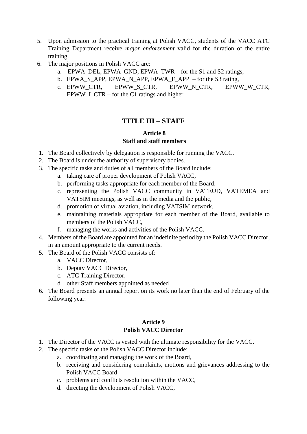- 5. Upon admission to the practical training at Polish VACC, students of the VACC ATC Training Department receive *major endorsement* valid for the duration of the entire training.
- 6. The major positions in Polish VACC are:
	- a. EPWA\_DEL, EPWA\_GND, EPWA\_TWR for the S1 and S2 ratings,
	- b. EPWA\_S\_APP, EPWA\_N\_APP, EPWA\_F\_APP for the S3 rating,
	- c. EPWW\_CTR, EPWW\_S\_CTR, EPWW\_N\_CTR, EPWW\_W\_CTR, EPWW I CTR – for the C1 ratings and higher.

# **TITLE III – STAFF**

#### **Article 8 Staff and staff members**

- 1. The Board collectively by delegation is responsible for running the VACC.
- 2. The Board is under the authority of supervisory bodies.
- 3. The specific tasks and duties of all members of the Board include:
	- a. taking care of proper development of Polish VACC,
	- b. performing tasks appropriate for each member of the Board,
	- c. representing the Polish VACC community in VATEUD, VATEMEA and VATSIM meetings, as well as in the media and the public,
	- d. promotion of virtual aviation, including VATSIM network,
	- e. maintaining materials appropriate for each member of the Board, available to members of the Polish VACC,
	- f. managing the works and activities of the Polish VACC.
- 4. Members of the Board are appointed for an indefinite period by the Polish VACC Director, in an amount appropriate to the current needs.
- 5. The Board of the Polish VACC consists of:
	- a. VACC Director,
	- b. Deputy VACC Director,
	- c. ATC Training Director,
	- d. other Staff members appointed as needed .
- 6. The Board presents an annual report on its work no later than the end of February of the following year.

#### **Article 9 Polish VACC Director**

- 1. The Director of the VACC is vested with the ultimate responsibility for the VACC.
- 2. The specific tasks of the Polish VACC Director include:
	- a. coordinating and managing the work of the Board,
	- b. receiving and considering complaints, motions and grievances addressing to the Polish VACC Board,
	- c. problems and conflicts resolution within the VACC,
	- d. directing the development of Polish VACC,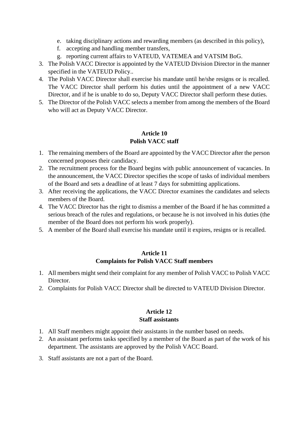- e. taking disciplinary actions and rewarding members (as described in this policy),
- f. accepting and handling member transfers,
- g. reporting current affairs to VATEUD, VATEMEA and VATSIM BoG.
- 3. The Polish VACC Director is appointed by the VATEUD Division Director in the manner specified in the VATEUD Policy..
- 4. The Polish VACC Director shall exercise his mandate until he/she resigns or is recalled. The VACC Director shall perform his duties until the appointment of a new VACC Director, and if he is unable to do so, Deputy VACC Director shall perform these duties.
- 5. The Director of the Polish VACC selects a member from among the members of the Board who will act as Deputy VACC Director.

#### **Article 10 Polish VACC staff**

- 1. The remaining members of the Board are appointed by the VACC Director after the person concerned proposes their candidacy.
- 2. The recruitment process for the Board begins with public announcement of vacancies. In the announcement, the VACC Director specifies the scope of tasks of individual members of the Board and sets a deadline of at least 7 days for submitting applications.
- 3. After receiving the applications, the VACC Director examines the candidates and selects members of the Board.
- 4. The VACC Director has the right to dismiss a member of the Board if he has committed a serious breach of the rules and regulations, or because he is not involved in his duties (the member of the Board does not perform his work properly).
- 5. A member of the Board shall exercise his mandate until it expires, resigns or is recalled.

#### **Article 11 Complaints for Polish VACC Staff members**

- 1. All members might send their complaint for any member of Polish VACC to Polish VACC Director.
- 2. Complaints for Polish VACC Director shall be directed to VATEUD Division Director.

#### **Article 12 Staff assistants**

- 1. All Staff members might appoint their assistants in the number based on needs.
- 2. An assistant performs tasks specified by a member of the Board as part of the work of his department. The assistants are approved by the Polish VACC Board.
- 3. Staff assistants are not a part of the Board.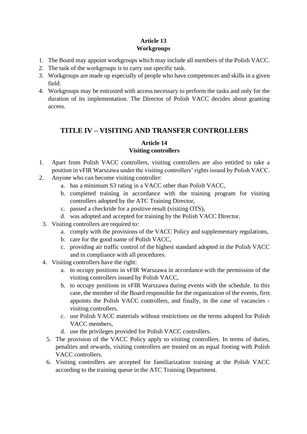# **Article 13 Workgroups**

- 1. The Board may appoint workgroups which may include all members of the Polish VACC.
- 2. The task of the workgroups is to carry out specific task.
- 3. Workgroups are made up especially of people who have competences and skills in a given field.
- 4. Workgroups may be entrusted with access necessary to perform the tasks and only for the duration of its implementation. The Director of Polish VACC decides about granting access.

# **TITLE IV – VISITING AND TRANSFER CONTROLLERS**

# **Article 14 Visiting controllers**

- 1. Apart from Polish VACC controllers, visiting controllers are also entitled to take a position in vFIR Warszawa under the visiting controllers' rights issued by Polish VACC.
- 2. Anyone who can become visiting controller:
	- a. has a minimum S3 rating in a VACC other than Polish VACC,
	- b. completed training in accordance with the training program for visiting controllers adopted by the ATC Training Director,
	- c. passed a checkride for a positive result (visiting OTS),
	- d. was adopted and accepted for training by the Polish VACC Director.
- 3. Visiting controllers are required to:
	- a. comply with the provisions of the VACC Policy and supplementary regulations,
	- b. care for the good name of Polish VACC,
	- c. providing air traffic control of the highest standard adopted in the Polish VACC and in compliance with all procedures.
- 4. Visiting controllers have the right:
	- a. to occupy positions in vFIR Warszawa in accordance with the permission of the visiting controllers issued by Polish VACC,
	- b. to occupy positions in vFIR Warszawa during events with the schedule. In this case, the member of the Board responsible for the organization of the events, first appoints the Polish VACC controllers, and finally, in the case of vacancies visiting controllers.
	- c. use Polish VACC materials without restrictions on the terms adopted for Polish VACC members,
	- d. use the privileges provided for Polish VACC controllers.
	- 5. The provision of the VACC Policy apply to visiting controllers. In terms of duties, penalties and rewards, visiting controllers are treated on an equal footing with Polish VACC controllers.
	- 6. Visiting controllers are accepted for familiarization training at the Polish VACC according to the training queue in the ATC Training Department.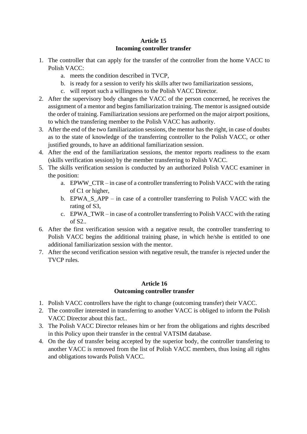## **Article 15 Incoming controller transfer**

- 1. The controller that can apply for the transfer of the controller from the home VACC to Polish VACC:
	- a. meets the condition described in TVCP,
	- b. is ready for a session to verify his skills after two familiarization sessions,
	- c. will report such a willingness to the Polish VACC Director.
- 2. After the supervisory body changes the VACC of the person concerned, he receives the assignment of a mentor and begins familiarization training. The mentor is assigned outside the order of training. Familiarization sessions are performed on the major airport positions, to which the transfering member to the Polish VACC has authority.
- 3. After the end of the two familiarization sessions, the mentor has the right, in case of doubts as to the state of knowledge of the transferring controller to the Polish VACC, or other justified grounds, to have an additional familiarization session.
- 4. After the end of the familiarization sessions, the mentor reports readiness to the exam (skills verification session) by the member transferring to Polish VACC.
- 5. The skills verification session is conducted by an authorized Polish VACC examiner in the position:
	- a. EPWW\_CTR in case of a controller transferring to Polish VACC with the rating of C1 or higher,
	- b. EPWA\_S\_APP in case of a controller transferring to Polish VACC with the rating of S3,
	- c. EPWA\_TWR in case of a controller transferring to Polish VACC with the rating of S2..
- 6. After the first verification session with a negative result, the controller transferring to Polish VACC begins the additional training phase, in which he/she is entitled to one additional familiarization session with the mentor.
- 7. After the second verification session with negative result, the transfer is rejected under the TVCP rules.

#### **Article 16 Outcoming controller transfer**

- 1. Polish VACC controllers have the right to change (outcoming transfer) their VACC.
- 2. The controller interested in transferring to another VACC is obliged to inform the Polish VACC Director about this fact..
- 3. The Polish VACC Director releases him or her from the obligations and rights described in this Policy upon their transfer in the central VATSIM database.
- 4. On the day of transfer being accepted by the superior body, the controller transfering to another VACC is removed from the list of Polish VACC members, thus losing all rights and obligations towards Polish VACC.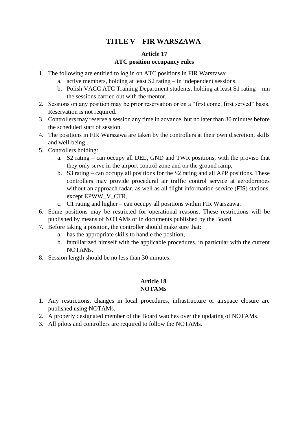# **TITLE V – FIR WARSZAWA**

## **Article 17 ATC position occupancy rules**

- 1. The following are entitled to log in on ATC positions in FIR Warszawa:
	- a. active members, holding at least S2 rating in independent sessions,
	- b. Polish VACC ATC Training Department students, holding at least S1 rating nin the sessions carried out with the mentor.
- 2. Sessions on any position may be prior reservation or on a "first come, first served" basis. Reservation is not required.
- 3. Controllers may reserve a session any time in advance, but no later than 30 minutes before the scheduled start of session.
- 4. The positions in FIR Warszawa are taken by the controllers at their own discretion, skills and well-being..
- 5. Controllers holding:
	- a. S2 rating can occupy all DEL, GND and TWR positions, with the proviso that they only serve in the airport control zone and on the ground ramp,
	- b. S3 rating can occupy all positions for the S2 rating and all APP positions. These controllers may provide procedural air traffic control service at aerodormoes without an approach radar, as well as all flight information service (FIS) stations, except EPWW\_V\_CTR,
	- c. C1 rating and higher can occupy all positions within FIR Warszawa.
- 6. Some positions may be restricted for operational reasons. These restrictions will be published by means of NOTAMs or in documents published by the Board.
- 7. Before taking a position, the controller should make sure that:
	- a. has the appropriate skills to handle the position,
	- b. familiarized himself with the applicable procedures, in particular with the current NOTAMs.
- 8. Session length should be no less than 30 minutes.

#### **Article 18 NOTAMs**

- 1. Any restrictions, changes in local procedures, infrastructure or airspace closure are published using NOTAMs.
- 2. A properly designated member of the Board watches over the updating of NOTAMs.
- 3. All pilots and controllers are required to follow the NOTAMs.